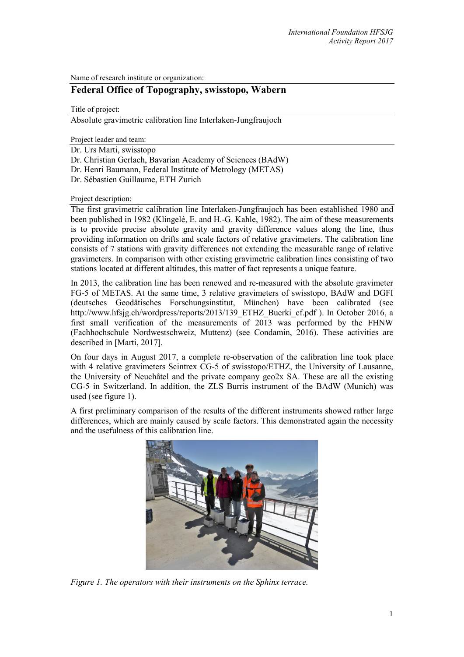Name of research institute or organization:

# **Federal Office of Topography, swisstopo, Wabern**

Title of project:

Absolute gravimetric calibration line Interlaken-Jungfraujoch

Project leader and team:

- Dr. Urs Marti, swisstopo
- Dr. Christian Gerlach, Bavarian Academy of Sciences (BAdW)
- Dr. Henri Baumann, Federal Institute of Metrology (METAS)
- Dr. Sébastien Guillaume, ETH Zurich

## Project description:

The first gravimetric calibration line Interlaken-Jungfraujoch has been established 1980 and been published in 1982 (Klingelé, E. and H.-G. Kahle, 1982). The aim of these measurements is to provide precise absolute gravity and gravity difference values along the line, thus providing information on drifts and scale factors of relative gravimeters. The calibration line consists of 7 stations with gravity differences not extending the measurable range of relative gravimeters. In comparison with other existing gravimetric calibration lines consisting of two stations located at different altitudes, this matter of fact represents a unique feature.

In 2013, the calibration line has been renewed and re-measured with the absolute gravimeter FG-5 of METAS. At the same time, 3 relative gravimeters of swisstopo, BAdW and DGFI (deutsches Geodätisches Forschungsinstitut, München) have been calibrated (see http://www.hfsjg.ch/wordpress/reports/2013/139 ETHZ Buerki cf.pdf ). In October 2016, a first small verification of the measurements of 2013 was performed by the FHNW (Fachhochschule Nordwestschweiz, Muttenz) (see Condamin, 2016). These activities are described in [Marti, 2017].

On four days in August 2017, a complete re-observation of the calibration line took place with 4 relative gravimeters Scintrex CG-5 of swisstopo/ETHZ, the University of Lausanne, the University of Neuchâtel and the private company geo2x SA. These are all the existing CG-5 in Switzerland. In addition, the ZLS Burris instrument of the BAdW (Munich) was used (see figure 1).

A first preliminary comparison of the results of the different instruments showed rather large differences, which are mainly caused by scale factors. This demonstrated again the necessity and the usefulness of this calibration line.



*Figure 1. The operators with their instruments on the Sphinx terrace.*